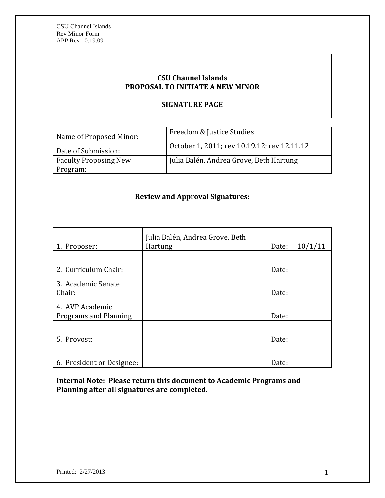# **CSU Channel Islands PROPOSAL TO INITIATE A NEW MINOR**

### **SIGNATURE PAGE**

| Name of Proposed Minor:                  | Freedom & Justice Studies                   |
|------------------------------------------|---------------------------------------------|
| Date of Submission:                      | October 1, 2011; rev 10.19.12; rev 12.11.12 |
| <b>Faculty Proposing New</b><br>Program: | Julia Balén, Andrea Grove, Beth Hartung     |

## **Review and Approval Signatures:**

| 1. Proposer:                 | Julia Balén, Andrea Grove, Beth<br><b>Hartung</b> | Date: | 10/1/11 |
|------------------------------|---------------------------------------------------|-------|---------|
|                              |                                                   |       |         |
| 2. Curriculum Chair:         |                                                   | Date: |         |
| 3. Academic Senate<br>Chair: |                                                   | Date: |         |
|                              |                                                   |       |         |
| 4. AVP Academic              |                                                   |       |         |
| Programs and Planning        |                                                   | Date: |         |
|                              |                                                   |       |         |
| 5. Provost:                  |                                                   | Date: |         |
|                              |                                                   |       |         |
| 6. President or Designee:    |                                                   | Date: |         |

**Internal Note: Please return this document to Academic Programs and Planning after all signatures are completed.**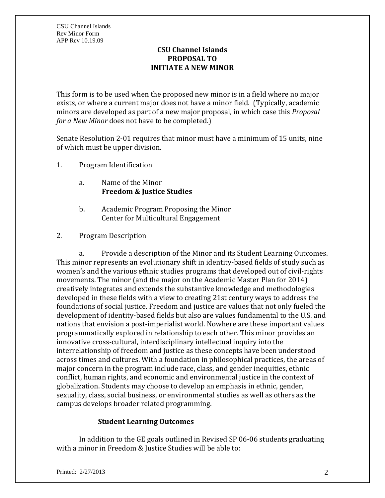## **CSU Channel Islands PROPOSAL TO INITIATE A NEW MINOR**

This form is to be used when the proposed new minor is in a field where no major exists, or where a current major does not have a minor field. (Typically, academic minors are developed as part of a new major proposal, in which case this *Proposal for a New Minor* does not have to be completed.)

Senate Resolution 2-01 requires that minor must have a minimum of 15 units, nine of which must be upper division.

- 1. Program Identification
	- a. Name of the Minor **Freedom & Justice Studies**
	- b. Academic Program Proposing the Minor Center for Multicultural Engagement
- 2. Program Description

a. Provide a description of the Minor and its Student Learning Outcomes. This minor represents an evolutionary shift in identity-based fields of study such as women's and the various ethnic studies programs that developed out of civil-rights movements. The minor (and the major on the Academic Master Plan for 2014) creatively integrates and extends the substantive knowledge and methodologies developed in these fields with a view to creating 21st century ways to address the foundations of social justice. Freedom and justice are values that not only fueled the development of identity-based fields but also are values fundamental to the U.S. and nations that envision a post-imperialist world. Nowhere are these important values programmatically explored in relationship to each other. This minor provides an innovative cross-cultural, interdisciplinary intellectual inquiry into the interrelationship of freedom and justice as these concepts have been understood across times and cultures. With a foundation in philosophical practices, the areas of major concern in the program include race, class, and gender inequities, ethnic conflict, human rights, and economic and environmental justice in the context of globalization. Students may choose to develop an emphasis in ethnic, gender, sexuality, class, social business, or environmental studies as well as others as the campus develops broader related programming.

# **Student Learning Outcomes**

In addition to the GE goals outlined in Revised SP 06-06 students graduating with a minor in Freedom & Justice Studies will be able to: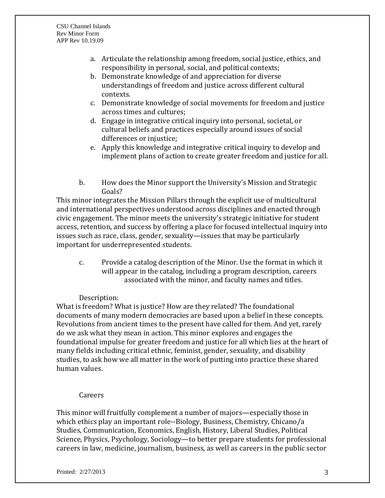- a. Articulate the relationship among freedom, social justice, ethics, and responsibility in personal, social, and political contexts;
- b. Demonstrate knowledge of and appreciation for diverse understandings of freedom and justice across different cultural contexts.
- c. Demonstrate knowledge of social movements for freedom and justice across times and cultures;
- d. Engage in integrative critical inquiry into personal, societal, or cultural beliefs and practices especially around issues of social differences or injustice;
- e. Apply this knowledge and integrative critical inquiry to develop and implement plans of action to create greater freedom and justice for all.
- b. How does the Minor support the University's Mission and Strategic Goals?

This minor integrates the Mission Pillars through the explicit use of multicultural and international perspectives understood across disciplines and enacted through civic engagement. The minor meets the university's strategic initiative for student access, retention, and success by offering a place for focused intellectual inquiry into issues such as race, class, gender, sexuality—issues that may be particularly important for underrepresented students.

c. Provide a catalog description of the Minor. Use the format in which it will appear in the catalog, including a program description, careers associated with the minor, and faculty names and titles.

# Description:

What is freedom? What is justice? How are they related? The foundational documents of many modern democracies are based upon a belief in these concepts. Revolutions from ancient times to the present have called for them. And yet, rarely do we ask what they mean in action. This minor explores and engages the foundational impulse for greater freedom and justice for all which lies at the heart of many fields including critical ethnic, feminist, gender, sexuality, and disability studies, to ask how we all matter in the work of putting into practice these shared human values.

### Careers

This minor will fruitfully complement a number of majors—especially those in which ethics play an important role--Biology, Business, Chemistry, Chicano/a Studies, Communication, Economics, English, History, Liberal Studies, Political Science, Physics, Psychology, Sociology—to better prepare students for professional careers in law, medicine, journalism, business, as well as careers in the public sector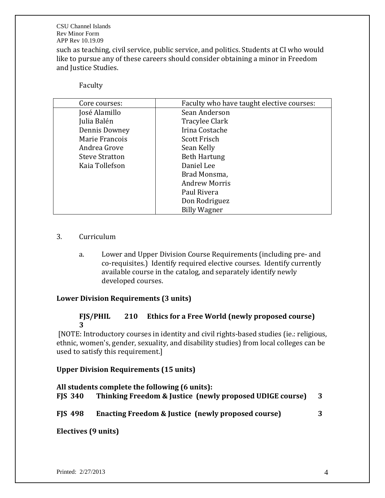CSU Channel Islands Rev Minor Form APP Rev 10.19.09 such as teaching, civil service, public service, and politics. Students at CI who would like to pursue any of these careers should consider obtaining a minor in Freedom and Justice Studies.

#### Faculty

| Core courses:         | Faculty who have taught elective courses: |
|-----------------------|-------------------------------------------|
| José Alamillo         | Sean Anderson                             |
| Julia Balén           | Tracylee Clark                            |
| Dennis Downey         | Irina Costache                            |
| Marie Francois        | <b>Scott Frisch</b>                       |
| Andrea Grove          | Sean Kelly                                |
| <b>Steve Stratton</b> | <b>Beth Hartung</b>                       |
| Kaia Tollefson        | Daniel Lee                                |
|                       | Brad Monsma,                              |
|                       | <b>Andrew Morris</b>                      |
|                       | Paul Rivera                               |
|                       | Don Rodriguez                             |
|                       | <b>Billy Wagner</b>                       |

### 3. Curriculum

a. Lower and Upper Division Course Requirements (including pre- and co-requisites.) Identify required elective courses. Identify currently available course in the catalog, and separately identify newly developed courses.

### **Lower Division Requirements (3 units)**

### **FJS/PHIL 210 Ethics for a Free World (newly proposed course) 3**

[NOTE: Introductory courses in identity and civil rights-based studies (ie.: religious, ethnic, women's, gender, sexuality, and disability studies) from local colleges can be used to satisfy this requirement.]

### **Upper Division Requirements (15 units)**

**All students complete the following (6 units): FJS 340 Thinking Freedom & Justice (newly proposed UDIGE course) 3 FJS 498 Enacting Freedom & Justice (newly proposed course) 3**

### **Electives (9 units)**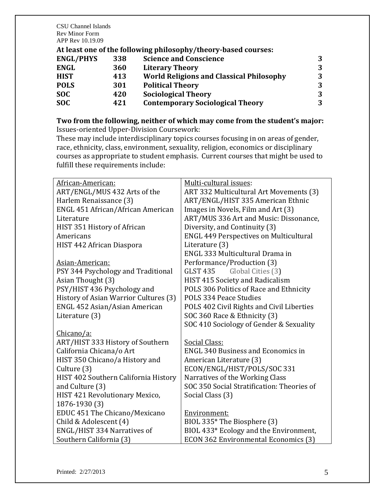CSU Channel Islands Rev Minor Form APP Rev 10.19.09

### **At least one of the following philosophy/theory-based courses:**

| 338 | <b>Science and Conscience</b>                   |   |
|-----|-------------------------------------------------|---|
| 360 | <b>Literary Theory</b>                          | 3 |
| 413 | <b>World Religions and Classical Philosophy</b> | 3 |
| 301 | <b>Political Theory</b>                         | 3 |
| 420 | <b>Sociological Theory</b>                      | 3 |
| 421 | <b>Contemporary Sociological Theory</b>         | 3 |
|     |                                                 |   |

### **Two from the following, neither of which may come from the student's major:** Issues-oriented Upper-Division Coursework:

These may include interdisciplinary topics courses focusing in on areas of gender, race, ethnicity, class, environment, sexuality, religion, economics or disciplinary courses as appropriate to student emphasis. Current courses that might be used to fulfill these requirements include:

| African-American:                     | Multi-cultural issues:                        |
|---------------------------------------|-----------------------------------------------|
| ART/ENGL/MUS 432 Arts of the          | ART 332 Multicultural Art Movements (3)       |
| Harlem Renaissance (3)                | ART/ENGL/HIST 335 American Ethnic             |
| ENGL 451 African/African American     | Images in Novels, Film and Art (3)            |
| Literature                            | ART/MUS 336 Art and Music: Dissonance,        |
| HIST 351 History of African           | Diversity, and Continuity (3)                 |
| Americans                             | <b>ENGL 449 Perspectives on Multicultural</b> |
| HIST 442 African Diaspora             | Literature (3)                                |
|                                       | ENGL 333 Multicultural Drama in               |
| Asian-American:                       | Performance/Production (3)                    |
| PSY 344 Psychology and Traditional    | <b>GLST 435</b><br>Global Cities (3)          |
| Asian Thought (3)                     | HIST 415 Society and Radicalism               |
| PSY/HIST 436 Psychology and           | POLS 306 Politics of Race and Ethnicity       |
| History of Asian Warrior Cultures (3) | POLS 334 Peace Studies                        |
| ENGL 452 Asian/Asian American         | POLS 402 Civil Rights and Civil Liberties     |
| Literature (3)                        | SOC 360 Race & Ethnicity (3)                  |
|                                       | SOC 410 Sociology of Gender & Sexuality       |
| Chicano/a:                            |                                               |
| ART/HIST 333 History of Southern      | Social Class:                                 |
| California Chicana/o Art              | <b>ENGL 340 Business and Economics in</b>     |
| HIST 350 Chicano/a History and        | American Literature (3)                       |
| Culture (3)                           | ECON/ENGL/HIST/POLS/SOC 331                   |
| HIST 402 Southern California History  | Narratives of the Working Class               |
| and Culture (3)                       | SOC 350 Social Stratification: Theories of    |
| HIST 421 Revolutionary Mexico,        | Social Class (3)                              |
| 1876-1930 (3)                         |                                               |
| EDUC 451 The Chicano/Mexicano         | Environment:                                  |
| Child & Adolescent (4)                | BIOL 335* The Biosphere (3)                   |
| ENGL/HIST 334 Narratives of           | BIOL 433* Ecology and the Environment,        |
| Southern California (3)               | ECON 362 Environmental Economics (3)          |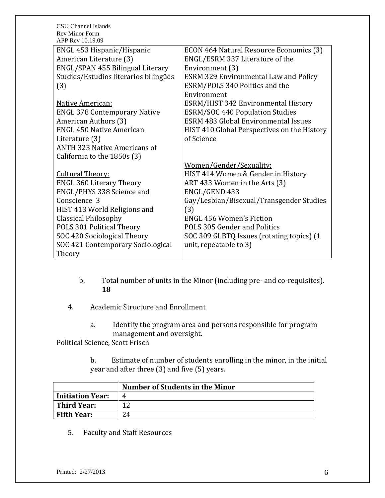| CSU Channel Islands                       |                                              |
|-------------------------------------------|----------------------------------------------|
| <b>Rev Minor Form</b><br>APP Rev 10.19.09 |                                              |
| ENGL 453 Hispanic/Hispanic                | ECON 464 Natural Resource Economics (3)      |
| American Literature (3)                   | ENGL/ESRM 337 Literature of the              |
| ENGL/SPAN 455 Bilingual Literary          | Environment (3)                              |
| Studies/Estudios literarios bilingües     | <b>ESRM 329 Environmental Law and Policy</b> |
| (3)                                       | ESRM/POLS 340 Politics and the               |
|                                           | Environment                                  |
| Native American:                          | ESRM/HIST 342 Environmental History          |
| <b>ENGL 378 Contemporary Native</b>       | <b>ESRM/SOC 440 Population Studies</b>       |
| American Authors (3)                      | <b>ESRM 483 Global Environmental Issues</b>  |
| <b>ENGL 450 Native American</b>           | HIST 410 Global Perspectives on the History  |
| Literature (3)                            | of Science                                   |
| <b>ANTH 323 Native Americans of</b>       |                                              |
| California to the 1850s (3)               |                                              |
|                                           | Women/Gender/Sexuality:                      |
| <b>Cultural Theory:</b>                   | HIST 414 Women & Gender in History           |
| <b>ENGL 360 Literary Theory</b>           | ART 433 Women in the Arts (3)                |
| ENGL/PHYS 338 Science and                 | ENGL/GEND 433                                |
| Conscience 3                              | Gay/Lesbian/Bisexual/Transgender Studies     |
| HIST 413 World Religions and              | (3)                                          |
| <b>Classical Philosophy</b>               | <b>ENGL 456 Women's Fiction</b>              |
| POLS 301 Political Theory                 | POLS 305 Gender and Politics                 |
| SOC 420 Sociological Theory               | SOC 309 GLBTQ Issues (rotating topics) (1    |
| SOC 421 Contemporary Sociological         | unit, repeatable to 3)                       |
| Theory                                    |                                              |

- b. Total number of units in the Minor (including pre- and co-requisites). **18**
- 4. Academic Structure and Enrollment
	- a. Identify the program area and persons responsible for program management and oversight.

Political Science, Scott Frisch

b. Estimate of number of students enrolling in the minor, in the initial year and after three (3) and five (5) years.

|                         | Number of Students in the Minor |
|-------------------------|---------------------------------|
| <b>Initiation Year:</b> | 4                               |
| Third Year:             |                                 |
| <b>Fifth Year:</b>      | 24                              |

5. Faculty and Staff Resources